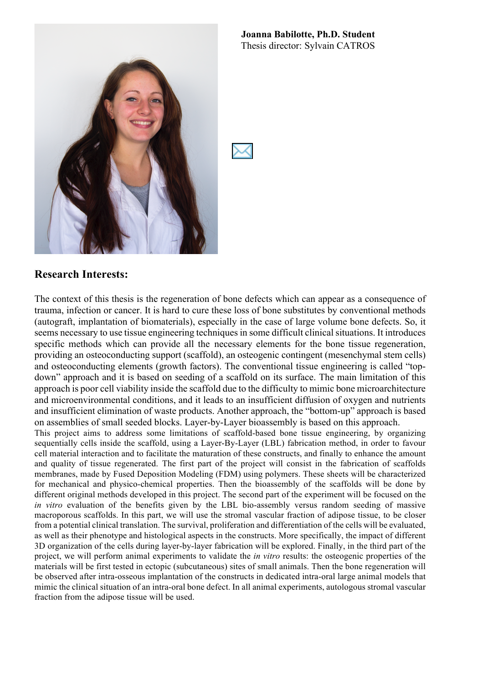#### **Joanna Babilotte, Ph.D. Student** Thesis director: Sylvain CATROS



#### **Research Interests:**

The context of this thesis is the regeneration of bone defects which can appear as a consequence of trauma, infection or cancer. It is hard to cure these loss of bone substitutes by conventional methods (autograft, implantation of biomaterials), especially in the case of large volume bone defects. So, it seems necessary to use tissue engineering techniques in some difficult clinical situations. It introduces specific methods which can provide all the necessary elements for the bone tissue regeneration, providing an osteoconducting support (scaffold), an osteogenic contingent (mesenchymal stem cells) and osteoconducting elements (growth factors). The conventional tissue engineering is called "topdown" approach and it is based on seeding of a scaffold on its surface. The main limitation of this approach is poor cell viability inside the scaffold due to the difficulty to mimic bone microarchitecture and microenvironmental conditions, and it leads to an insufficient diffusion of oxygen and nutrients and insufficient elimination of waste products. Another approach, the "bottom-up" approach is based on assemblies of small seeded blocks. Layer-by-Layer bioassembly is based on this approach.

This project aims to address some limitations of scaffold-based bone tissue engineering, by organizing sequentially cells inside the scaffold, using a Layer-By-Layer (LBL) fabrication method, in order to favour cell material interaction and to facilitate the maturation of these constructs, and finally to enhance the amount and quality of tissue regenerated. The first part of the project will consist in the fabrication of scaffolds membranes, made by Fused Deposition Modeling (FDM) using polymers. These sheets will be characterized for mechanical and physico-chemical properties. Then the bioassembly of the scaffolds will be done by different original methods developed in this project. The second part of the experiment will be focused on the *in vitro* evaluation of the benefits given by the LBL bio-assembly versus random seeding of massive macroporous scaffolds. In this part, we will use the stromal vascular fraction of adipose tissue, to be closer from a potential clinical translation. The survival, proliferation and differentiation of the cells will be evaluated, as well as their phenotype and histological aspects in the constructs. More specifically, the impact of different 3D organization of the cells during layer-by-layer fabrication will be explored. Finally, in the third part of the project, we will perform animal experiments to validate the *in vitro* results: the osteogenic properties of the materials will be first tested in ectopic (subcutaneous) sites of small animals. Then the bone regeneration will be observed after intra-osseous implantation of the constructs in dedicated intra-oral large animal models that mimic the clinical situation of an intra-oral bone defect. In all animal experiments, autologous stromal vascular fraction from the adipose tissue will be used.